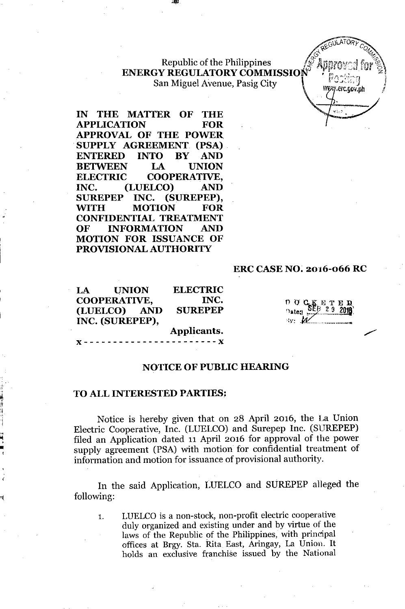Republic of the Philippines *If Annoyed for*  $\otimes$ Republic of the Philippines **ENERGY REGULATORY COMMISSION**  $\begin{bmatrix} \cdots & \cdots & \cdots & 1 & 1 \end{bmatrix}$ San Miguel Avenue, Pasig City **and Communistic Communistic Communistic (COMPACT)** 



**IN THE MATTER OF THE APPLICATION FOR APPROVAL OF THE POWER SUPPLY AGREEMENT (PSA) ENTERED INTO BY AND BETWEEN LA UNION ELECTRIC COOPERATIVE, INC. (LUELCO) AND SUREPEP INC. (SUREPEP), WITH MOTION FOR CONFIDENTIAL TREATMENT OF INFORMATION AND MOTION FOR ISSUANCE OF PROVISIONAL AUTHORITY**

## **ERC CASE NO. 2016-066 RC**

**LA UNION COOPERATIVE, (LUELCO) AND INC. (SUREPEP), ELECTRIC INC. SUREPEP Applicants.**

x-----------------------x

II) ្រ<br>(

(

 $0,0,0$  $Date$ ;  $\mathcal{W}$   $\mathcal{M}$ 

#### **NOTICE OF PUBLIC HEARING**

#### **TO ALL INTERESTED PARTIES;**

Notice is hereby given that on 28 April 2016, the La Union Electric Cooperative, Inc, (LUELCO) and Surepep Inc, (SUREPEP) filed an Application dated 11 April 2016 for approval of the power supply agreement (PSA) with motion for confidential treatment of information and motion for issuance of provisional authority,

**In** the said Application, LUELCO and SUREPEP alleged the following:

1. LUELCO is a non-stock, non-profit electric cooperative duly organized and existing under and by virtue of the laws of the Republic of the Philippines, with principal offices at Brgy, 8ta. Rita East, Aringay, La Union. It holds an exclusive franchise issued by the National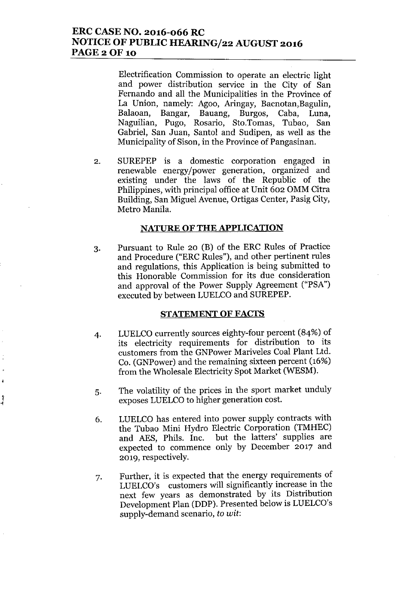# **ERC CASE NO. 2016-066 RC NOTICE OF PUBLIC HEARING/22 AUGUST 2016 PAGE20F10**

Electrification Commission to operate an electric light and power distribution service in the City of San Fernando and all the Municipalities in the Province of La Union, namely: Agoo, Aringay, Bacnotan,Bagulin, Balaoan, Bangar, Bauang, Burgos, Caba, Luna, Naguilian, Pugo, Rosario, Sto.Tomas, Tubao, San Gabriel, San Juan, Santol and Sudipen, as well as the Municipality of Sison, in the Province of Pangasinan.

2. SUREPEP is a domestic corporation engaged in renewable energy/power generation, organized and existing under the laws of the Republic of the Philippines, with principal office at Unit 602 OMM Citra Building, San Miguel Avenue, Ortigas Center, Pasig City, Metro Manila.

## **NATURE OF THE APPLICATION**

3. Pursuant to Rule 20 (B) of the ERC Rules of Practice and Procedure ("ERC Rules"), and other pertinent rules and regulations, this Application is being submitted to this Honorable Commission for its due consideration and approval of the Power Supply Agreement ("PSA") executed by between LUELCOand SUREPEP.

### **STATEMENT OF FACTS**

- 4. LUELCO currently sources eighty-four percent (84%) of its electricity requirements for distribution to its customers from the GNPower Mariveles Coal Plant Ltd. Co. (GNPower) and the remaining sixteen percent (16%) from the Wholesale Electricity Spot Market (WESM).
- 5. The volatility of the prices in the sport market unduly exposes LUELCO to higher generation cost.

,<br>,<br>,<br>,<br>,

1  $\ddot{\cdot}$ 

- 6. LUELCO has entered into power supply contracts with the Tubao Mini Hydro Electric Corporation (TMHEC) and AES, Phils. Inc. but the latters' supplies are expected to commence only by December 2017 and 2019, respectively.
- 7. Further, it is expected that the energy requirements of LUELCO's customers will significantly increase in the next few years as demonstrated by its Distribution Development Plan (DDP). Presented below is LUELCO's supply-demand scenario, to *wit:*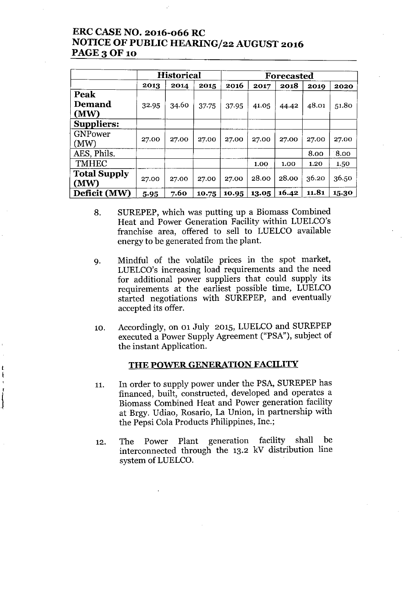# ERC CASE NO. 2016-066 RC NOTICE OF PUBLIC HEARING/22 AUGUST 2016 PAGE 3 OF 10

|                     | <b>Historical</b> |       | Forecasted |       |       |       |       |       |
|---------------------|-------------------|-------|------------|-------|-------|-------|-------|-------|
|                     | 2013              | 2014  | 2015       | 2016  | 2017  | 2018  | 2019  | 2020  |
| Peak                |                   |       |            |       |       |       |       |       |
| <b>Demand</b>       | 32.95             | 34.60 | 37.75      | 37.95 | 41.05 | 44.42 | 48.01 | 51.80 |
| (MW)                |                   |       |            |       |       |       |       |       |
| Suppliers:          |                   |       |            |       |       |       |       |       |
| <b>GNPower</b>      | 27.00             | 27.00 | 27.00      | 27.00 | 27.00 | 27.00 | 27.00 | 27.00 |
| (MW)                |                   |       |            |       |       |       |       |       |
| AES, Phils.         |                   |       |            |       |       |       | 8.00  | 8.00  |
| <b>TMHEC</b>        |                   |       |            |       | 1.00  | 1.00  | 1.20  | 1.50  |
| <b>Total Supply</b> |                   | 27.00 | 27.00      | 27.00 | 28.00 | 28.00 | 36.20 | 36.50 |
| (MW)                | 27.00             |       |            |       |       |       |       |       |
| Deficit (MW)        | 5.95              | 7.60  | 10.75      | 10.95 | 13.05 | 16.42 | 11.81 | 15.30 |

- 8. SUREPEP, which was putting up a Biomass Combined Heat and Power Generation Facility within LUELCO's franchise area, offered to sell to LUELCO available energy to be generated from the plant.
- 9. Mindful of the volatile prices in the spot market, LUELCO's increasing load requirements and the need for additional power suppliers that could supply its requirements at the earliest possible time, LUELCO started negotiations with SUREPEP, and eventually accepted its offer.
- 10. Accordingly, on 01 July 2015, LUELCOand SUREPEP executed a Power Supply Agreement ("PSA"), subject of the instant Application.

### THE POWER GENERATION FACILITY

~

 $\ddagger$ 

- 11. In order to supply power under the PSA, SUREPEP has financed, built, constructed, developed and operates a Biomass Combined Heat and Power generation facility at Brgy. Udiao, Rosario, La Union, in partnership with the Pepsi Cola Products Philippines, Inc.;
- 12. The Power Plant generation facility shall be interconnected through the 13.2 kV distribution line system of LUELCO.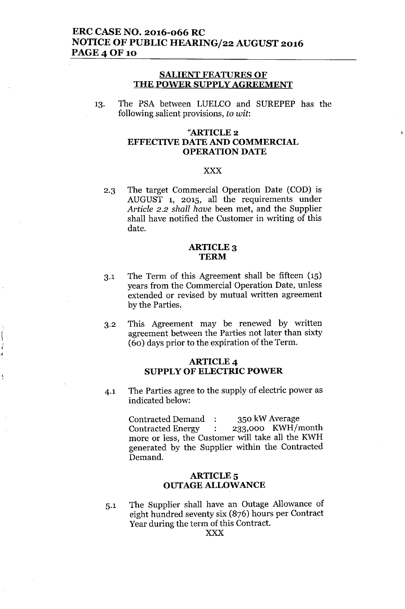# **ERC CASE NO. 2016-066 RC NOTICE OF PUBLIC HEARING/22 AUGUST 2016** PAGE 4 OF 10

## **SALIENT FEATURES OF THE POWER SUPPLY AGREEMENT**

13. The PSA between LUELCO and SUREPEP has the following salient provisions, *to wit:*

## **"ARTICLE2 EFFECTIVE DATE AND COMMERCIAL OPERATION DATE**

#### xxx

2.3 The target Commercial Operation Date (COD) is AUGUST 1, 2015, all the requirements under *Article* 2.2 *shall have* been met, and the Supplier shall have notified the Customer in writing of this date.

#### ARTICLE 3 **TERM**

- 3.1 The Term of this Agreement shall be fifteen (15) years from the Commercial Operation Date, unless extended or revised by mutual written agreement by the Parties.
- 3.2 This Agreement may be renewed by written agreement between the Parties not later than sixty (60) days prior to the expiration of the Term.

֓֓֓֓֓֓֓֓֓֓֓֓֓֓֓֡׆֧֬<br>֧֧֧֧֬֓֬֘֬֘

### ARTICLE 4 **SUPPLY OF ELECTRIC POWER**

4.1 The Parties agree to the supply of electric power as indicated below:

> Contracted Demand: 350 kWAverage Contracted Energy : 233,000 KWH/month more or less, the Customer will take all the KWH generated by the Supplier within the Contracted Demand.

#### **ARTICLE**<sub>5</sub> **OUTAGE ALLOWANCE**

5.1 The Supplier shall have an Outage Allowance of eight hundred seventy six (876) hours per Contract Year during the term of this Contract.

XXX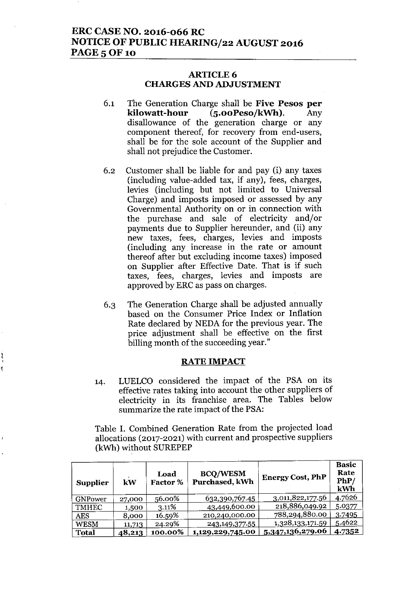# ERC CASE NO. 2016-066 RC NOTICE OF PUBLIC HEARING/22 AUGUST 2016 **PAGE 5 OF 10**

## ARTICLE 6 CHARGES AND ADJUSTMENT

- 6.1 The Generation Charge shall be Five Pesos per  $kilowatt-hour$   $(5.00Peso/kWh)$ . Any disallowance of the generation charge or any component thereof, for recovery from end-users, shall be for the sole account of the Supplier and shall not prejudice the Customer.
- 6.2 Customer shall be liable for and pay (i) any taxes (including value-added tax, if any), fees, charges, levies (including but not limited to Universal Charge) and imposts imposed or assessed by any Governmental Authority on or in connection with the purchase and sale of electricity and/or payments due to Supplier hereunder, and (ii) any new taxes, fees, charges, levies and imposts (including any increase in the rate or amount thereof after but excluding income taxes) imposed on Supplier after Effective Date. That is if such taxes, fees, charges, levies and imposts are approved by ERC as pass on charges.
- 6.3 The Generation Charge shall be adjusted annually based on the Consumer Price Index or Inflation Rate declared by NEDA for the previous year. The price adjustment shall be effective on the first billing month of the succeeding year."

### RATE IMPACT

14. LUELCO considered the impact of the PSA on its effective rates taking into account the other suppliers of electricity in its franchise area. The Tables below summarize the rate impact of the PSA:

Table I. Combined Generation Rate from the projected load allocations (2017-2021) with current and prospective suppliers (kWh) without SUREPEP

| <b>Supplier</b> | kW     | Load<br><b>Factor</b> % | <b>BCQ/WESM</b><br>Purchased, kWh | <b>Energy Cost, PhP</b>  | <b>Basic</b><br>Rate<br>PhP/<br>kWh |
|-----------------|--------|-------------------------|-----------------------------------|--------------------------|-------------------------------------|
| GNPower         | 27,000 | 56.00%                  | 632,390,767.45                    | 3,011,822,177.56         | 4.7626                              |
| <b>TMHEC</b>    | 1,500  | $3.11\%$                | 43,449,600.00                     | 218,886,049.92           | 5.0377                              |
| <b>AES</b>      | 8,000  | 16.59%                  | 210,240,000.00                    | 788,294,880.00           | 3.7495                              |
| <b>WESM</b>     | 11,713 | 24.29%                  | 243,149,377.55                    | 1,328,133,171.59         | 5.4622                              |
| <b>Total</b>    | 48,213 | 100.00%                 | 1,129,229,745.00                  | <u>5,347,136,279</u> .06 | 4.7352                              |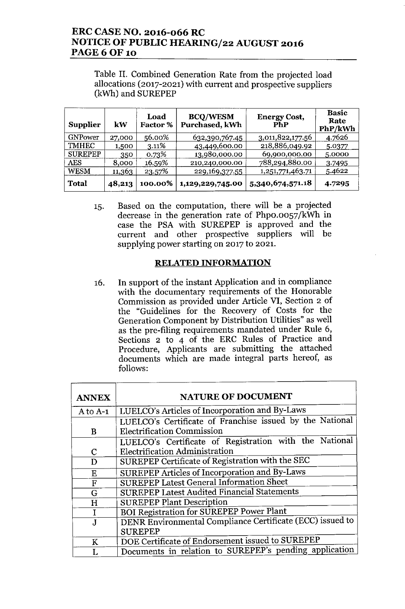# ERC CASE NO. 2016-066 RC NOTICE OF PUBLIC HEARING/22 AUGUST 2016 **PAGE 6 OF 10**

Table II. Combined Generation Rate from the projected load allocations (2017-2021) with current and prospective suppliers (kWh) and SUREPEP

| <b>Supplier</b> | kW     | Load<br><b>Factor</b> % | <b>BCQ/WESM</b><br>Purchased, kWh | <b>Energy Cost,</b><br><b>PhP</b> | <b>Basic</b><br>Rate<br>PhP/kWh |
|-----------------|--------|-------------------------|-----------------------------------|-----------------------------------|---------------------------------|
| <b>GNPower</b>  | 27,000 | 56.00%                  | 632,390,767.45                    | 3,011,822,177.56                  | 4.7626                          |
| TMHEC           | 1,500  | 3.11%                   | 43,449,600.00                     | 218,886,049.92                    | 5.0377                          |
| <b>SUREPEP</b>  | 350    | 0.73%                   | 13,980,000.00                     | 69,900,000.00                     | 5.0000                          |
| AES             | 8,000  | 16.59%                  | 210,240,000.00                    | 788,294,880.00                    | 3.7495                          |
| <b>WESM</b>     | 11,363 | 23.57%                  | 229,169,377.55                    | 1,251,771,463.71                  | 5.4622                          |
| <b>Total</b>    | 48,213 | 100.00%                 | 1,129,229,745.00                  | 5,340,674,571.18                  | 4.7295                          |

15. Based on the computation, there will be a projected decrease in the generation rate of Phpo.0057/kWh in case the PSA with SUREPEP is approved and the current and other prospective suppliers will be supplying power starting on 2017 to 2021.

## RELATED INFORMATION

16. In support of the instant Application and in compliance with the documentary requirements of the Honorable Commission as provided under Article VI, Section 2 of the "Guidelines for the Recovery of Costs for the Generation Component by Distribution Utilities" as well as the pre-filing requirements mandated under Rule 6, Sections 2 to 4 of the ERC Rules of Practice and Procedure, Applicants are submitting the attached documents which are made integral parts hereof, as follows:

| <b>ANNEX</b> | <b>NATURE OF DOCUMENT</b>                                 |
|--------------|-----------------------------------------------------------|
| A to A-1     | LUELCO's Articles of Incorporation and By-Laws            |
|              | LUELCO's Certificate of Franchise issued by the National  |
| B            | <b>Electrification Commission</b>                         |
|              | LUELCO's Certificate of Registration with the National    |
| $\mathbf C$  | <b>Electrification Administration</b>                     |
| D            | SUREPEP Certificate of Registration with the SEC          |
| E            | SUREPEP Articles of Incorporation and By-Laws             |
| F            | <b>SUREPEP Latest General Information Sheet</b>           |
| G            | <b>SUREPEP Latest Audited Financial Statements</b>        |
| н            | <b>SUREPEP Plant Description</b>                          |
|              | BOI Registration for SUREPEP Power Plant                  |
| $\mathbf{J}$ | DENR Environmental Compliance Certificate (ECC) issued to |
|              | <b>SUREPEP</b>                                            |
| K            | DOE Certificate of Endorsement issued to SUREPEP          |
|              | Documents in relation to SUREPEP's pending application    |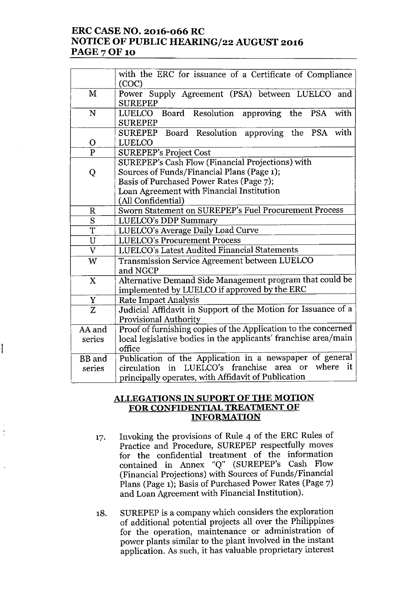# **ERC CASE NO. 2016-066 RC NOTICE OF PUBLIC HEARING/22 AUGUST 2016 PAGE 7 OF 10**

|                         | with the ERC for issuance of a Certificate of Compliance        |
|-------------------------|-----------------------------------------------------------------|
|                         | (COC)                                                           |
| M                       | Power Supply Agreement (PSA) between LUELCO and                 |
|                         | <b>SUREPEP</b>                                                  |
| N                       | Resolution approving the PSA<br>LUELCO<br>Board<br>with         |
|                         | <b>SUREPEP</b>                                                  |
|                         | Board Resolution approving<br>the PSA with<br><b>SUREPEP</b>    |
| $\mathbf{O}$            | LUELCO                                                          |
| $\mathbf{P}$            | <b>SUREPEP's Project Cost</b>                                   |
|                         | <b>SUREPEP's Cash Flow (Financial Projections) with</b>         |
| Q                       | Sources of Funds/Financial Plans (Page 1);                      |
|                         | Basis of Purchased Power Rates (Page 7);                        |
|                         | Loan Agreement with Financial Institution                       |
|                         | (All Confidential)                                              |
| $\mathbf R$             | Sworn Statement on SUREPEP's Fuel Procurement Process           |
| S                       | <b>LUELCO's DDP Summary</b>                                     |
| T                       | LUELCO's Average Daily Load Curve                               |
| $\overline{\mathbf{U}}$ | <b>LUELCO's Procurement Process</b>                             |
| $\overline{\mathbf{V}}$ | LUELCO's Latest Audited Financial Statements                    |
| W                       | <b>Transmission Service Agreement between LUELCO</b>            |
|                         | and NGCP                                                        |
| X                       | Alternative Demand Side Management program that could be        |
|                         | implemented by LUELCO if approved by the ERC                    |
| Y                       | <b>Rate Impact Analysis</b>                                     |
| Z                       | Judicial Affidavit in Support of the Motion for Issuance of a   |
|                         | <b>Provisional Authority</b>                                    |
| AA and                  | Proof of furnishing copies of the Application to the concerned  |
| series                  | local legislative bodies in the applicants' franchise area/main |
|                         | office                                                          |
| <b>BB</b> and           | Publication of the Application in a newspaper of general        |
| series                  | it<br>area or where<br>LUELCO's franchise<br>in<br>circulation  |
|                         | principally operates, with Affidavit of Publication             |

## **ALLEGATIONS IN SUPORT OF THE MOTION FOR CONFIDENTIAL TREATMENT OF INFORMATION**

ľ

- 17. Invoking the provisions of Rule 4 of the ERC Rules of Practice and Procedure, SUREPEP respectfully moves for the confidential treatment of the information contained in Annex "Q" (SUREPEP's Cash Flow (Financial Projections) with Sources of Funds/Financial Plans (Page 1); Basis of Purchased Power Rates (Page 7) and Loan Agreement with Financial Institution).
- 18. SUREPEP is a company which considers the exploration of additional potential projects all over the Philippines for the operation, maintenance or administration of power plants similar to the plant involved in the instant application. As such, it has valuable proprietary interest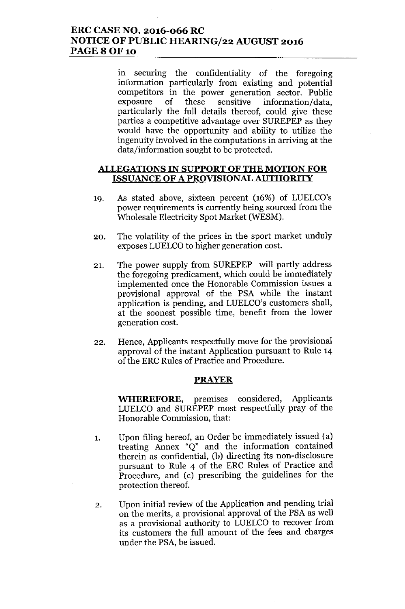# **ERC CASE NO. 2016-066 RC NOTICE OF PUBLIC** *HEARINGf22* **AUGUST 2016 PAGE80F10**

in securing the confidentiality of the foregoing information particularly from existing and potential competitors in the power generation sector. Public exposure of these sensitive information/data, particularly the full details thereof, could give these parties a competitive advantage over SUREPEP as they would have the opportunity and ability to utilize the ingenuity involved in the computations in arriving at the data/information sought to be protected.

## **ALLEGATIONS IN SUPPORT OF THE MOTION FOR ISSUANCE OF A PROVISIONAL AUTHORITY**

- 19. As stated above, sixteen percent (16%) of LUELCO's power requirements is currently being sourced from the Wholesale Electricity Spot Market (WESM).
- 20. The volatility of the prices in the sport market unduly exposes LUELCO to higher generation cost.
- 21. The power supply from SUREPEP will partly address the foregoing predicament, which could be immediately implemented once the Honorable Commission issues a provisional approval of the PSA while the instant application is pending, and LUELCO's customers shall, at the soonest possible time, benefit from the lower generation cost.
- 22. Hence, Applicants respectfully move for the provisional approval of the instant Application pursuant to Rule 14 of the ERC Rules of Practice and Procedure.

### **PRAYER**

**WHEREFORE,** premises considered, Applicants LUELCO and SUREPEP most respectfully pray of the Honorable Commission, that:

- 1. Upon filing hereof, an Order be immediately issued (a) treating Annex "Q" and the information contained therein as confidential, (b) directing its non-disclosure pursuant to Rule 4 of the ERC Rules of Practice and Procedure, and (c) prescribing the guidelines for the protection thereof.
- 2. Upon initial review of the Application and pending trial on the merits, a provisional approval of the PSA as well as a provisional authority to LUELCO to recover from its customers the full amount of the fees and charges under the PSA, be issued.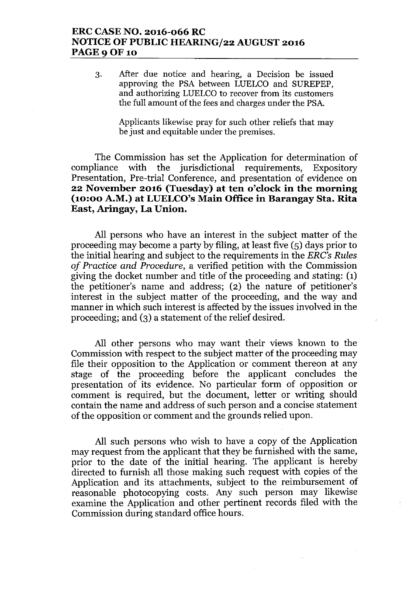# **ERCCASENO. 2016-066 RC NOTICEOF PUBLIC HEARING/22 AUGUST 2016 PAGE 9 OF 10**

3. After due notice and hearing, a Decision be issued approving the PSA between LUELCO and SUREPEP. and authorizing LUELCO to recover from its customers the full amount of the fees and charges under the PSA.

> Applicants likewise pray for such other reliefs that may be just and equitable under the premises.

The Commission has set the Application for determination of compliance with the jurisdictional requirements, Expository Presentation, Pre-trial Conference, and presentation of evidence on **22 November 2016 (Tuesday) at ten o'clock in the morning (10:00 A.M.) at LUELCO'sMain Office in Barangay Sta. Rita East, Aringay, La Union.**

All persons who have an interest in the subject matter of the proceeding may become a party by filing, at least five (5) days prior to the initial hearing and subject to the requirements in the *ERG's Rules of Practice and Procedure,* a verified petition with the Commission giving the docket number and title of the proceeding and stating: (1) the petitioner's name and address; (2) the nature of petitioner's interest in the subject matter of the proceeding, and the way and manner in which such interest is affected by the issues involved in the proceeding; and (3) a statement of the relief desired.

All other persons who may want their views known to the Commission with respect to the subject matter of the proceeding may file their opposition to the Application or comment thereon at any stage of the proceeding before the applicant concludes the presentation of its evidence. No particular form of opposition or comment is required, but the document, letter or writing should contain the name and address of such person and a concise statement of the opposition or comment and the grounds relied upon.

All such persons who wish to have a copy of the Application may request from the applicant that they be furnished with the same, prior to the date of the initial hearing. The applicant is hereby directed to furnish all those making such request with copies of the Application and its attachments, subject to the reimbursement of reasonable photocopying costs. Any such person may likewise examine the Application and other pertinent records filed with the Commission during standard office hours.